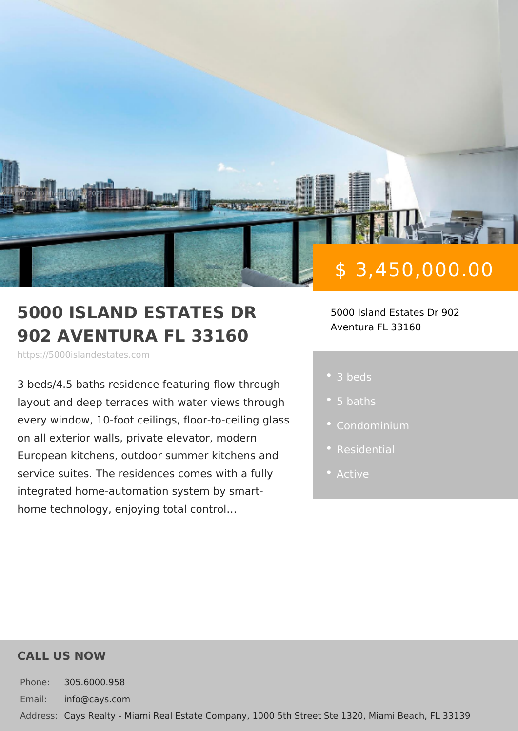# \$ 3,450,000.00

#### 5000 ISLAND ESTATES DR 5000 Island Estates Dr 902 902 AVENTURA FL 33160 Aventura FL 33160

https://5000islandestates.com

 $3$  beds/4.5 baths residence featuring flowlayout and deep terraces with water vie every window, 10-foot ceilings, floor-to on all exterior walls, private elevator, r European kitchens, outdoor summer kitch service suites. The residences comes w • Active  $integrated home-aution system by  $s$$ home technology, enjoying total control&

3 beds

- 
- 
- 
- 

### CALL US NOW

Phone: 305.6000.958 Email: info@cays.com Addres Cays Realty - Miami Real Estate Company, 1000 5th Street Ste 1320, Mia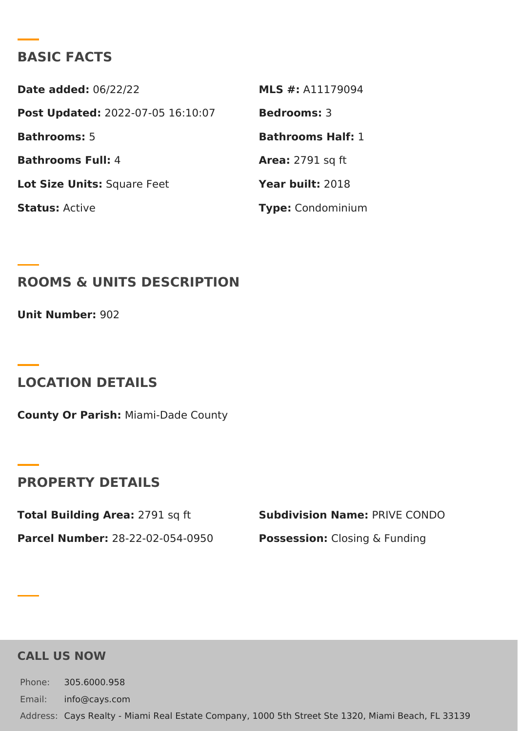### BASIC FACTS

Date added: 6/22/22 MLS #: A11179094 Post Update @022-07-05 16:10:07Bedrooms3 Bathrooms5 Bathrooms Half: Bathrooms Fu4I: Area: 2791 sq ft Lot Size Unifsquare Feet Year buil 2:018 StatusActive Type Condominium

ROOMS & UNITS DESCRIPTION

 $Unit$  Numbe $9.02$ 

LOCATION DETAILS

County Or Paris/liami-Dade County

PROPERTY DETAILS

Total Building Ar $2e$ 7a91 sq ft Subdivision NamPeRIVE CONDO Parcel Numbe28-22-02-054-0950 PossessionC:losing & Funding

CALL US NOW

Phone: 305.6000.958 Email: info@cays.com Addres Cays Realty - Miami Real Estate Company, 1000 5th Street Ste 1320, Mia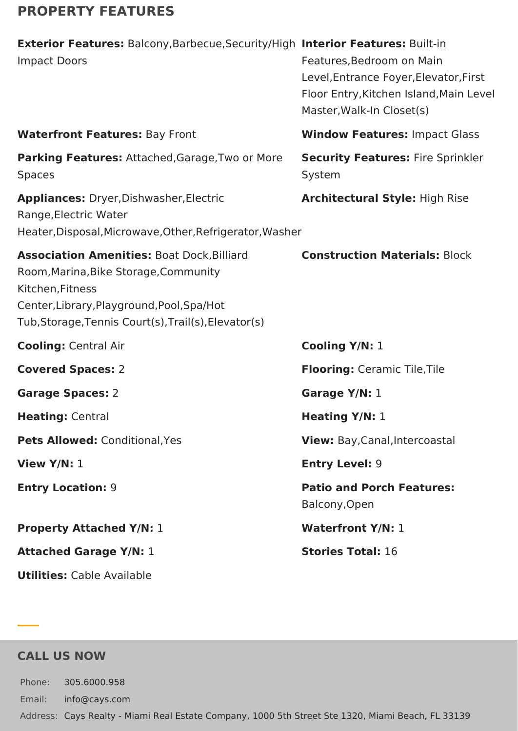# **PROPERTY FEATURES**

| Exterior Features: Balcony, Barbecue, Security/High Interior Features: Built-in<br><b>Impact Doors</b>                                                                                                               | Features, Bedroom on Main<br>Level, Entrance Foyer, Elevator, First<br>Floor Entry, Kitchen Island, Main Level<br>Master, Walk-In Closet(s) |
|----------------------------------------------------------------------------------------------------------------------------------------------------------------------------------------------------------------------|---------------------------------------------------------------------------------------------------------------------------------------------|
| <b>Waterfront Features: Bay Front</b>                                                                                                                                                                                | <b>Window Features: Impact Glass</b>                                                                                                        |
| Parking Features: Attached, Garage, Two or More<br><b>Spaces</b>                                                                                                                                                     | <b>Security Features: Fire Sprinkler</b><br>System                                                                                          |
| Appliances: Dryer, Dishwasher, Electric<br>Range, Electric Water<br>Heater, Disposal, Microwave, Other, Refrigerator, Washer                                                                                         | <b>Architectural Style: High Rise</b>                                                                                                       |
| <b>Association Amenities: Boat Dock, Billiard</b><br>Room, Marina, Bike Storage, Community<br>Kitchen, Fitness<br>Center, Library, Playground, Pool, Spa/Hot<br>Tub, Storage, Tennis Court(s), Trail(s), Elevator(s) | <b>Construction Materials: Block</b>                                                                                                        |
| <b>Cooling: Central Air</b>                                                                                                                                                                                          | Cooling Y/N: 1                                                                                                                              |
| <b>Covered Spaces: 2</b>                                                                                                                                                                                             | <b>Flooring: Ceramic Tile, Tile</b>                                                                                                         |
| <b>Garage Spaces: 2</b>                                                                                                                                                                                              | Garage Y/N: 1                                                                                                                               |
| Heating: Central                                                                                                                                                                                                     | <b>Heating Y/N: 1</b>                                                                                                                       |
| Pets Allowed: Conditional, Yes                                                                                                                                                                                       | View: Bay, Canal, Intercoastal                                                                                                              |
| View $Y/N: 1$                                                                                                                                                                                                        | <b>Entry Level: 9</b>                                                                                                                       |
| <b>Entry Location: 9</b>                                                                                                                                                                                             | <b>Patio and Porch Features:</b><br>Balcony, Open                                                                                           |
| <b>Property Attached Y/N: 1</b>                                                                                                                                                                                      | <b>Waterfront Y/N: 1</b>                                                                                                                    |
| <b>Attached Garage Y/N: 1</b>                                                                                                                                                                                        | <b>Stories Total: 16</b>                                                                                                                    |
| <b>Utilities:</b> Cable Available                                                                                                                                                                                    |                                                                                                                                             |

## **CALL US NOW**

Phone: 305.6000.958 Email: info@cays.com Address: Cays Realty - Miami Real Estate Company, 1000 5th Street Ste 1320, Miami Beach, FL 33139